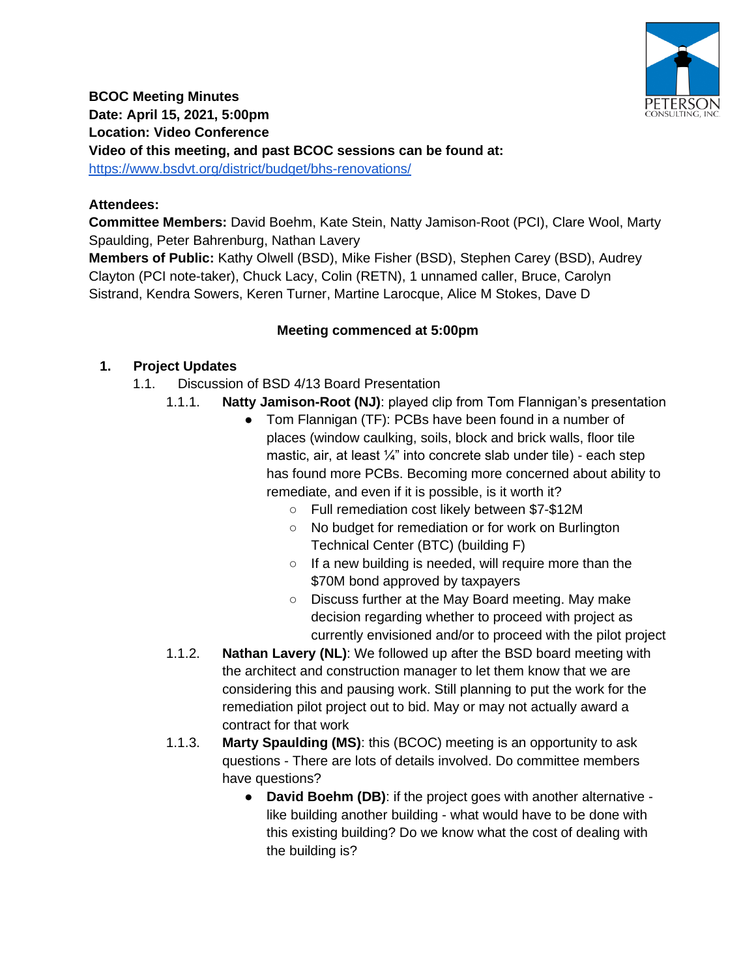

**BCOC Meeting Minutes Date: April 15, 2021, 5:00pm Location: Video Conference Video of this meeting, and past BCOC sessions can be found at:** <https://www.bsdvt.org/district/budget/bhs-renovations/>

## **Attendees:**

**Committee Members:** David Boehm, Kate Stein, Natty Jamison-Root (PCI), Clare Wool, Marty Spaulding, Peter Bahrenburg, Nathan Lavery

**Members of Public:** Kathy Olwell (BSD), Mike Fisher (BSD), Stephen Carey (BSD), Audrey Clayton (PCI note-taker), Chuck Lacy, Colin (RETN), 1 unnamed caller, Bruce, Carolyn Sistrand, Kendra Sowers, Keren Turner, Martine Larocque, Alice M Stokes, Dave D

## **Meeting commenced at 5:00pm**

## **1. Project Updates**

- 1.1. Discussion of BSD 4/13 Board Presentation
	- 1.1.1. **Natty Jamison-Root (NJ)**: played clip from Tom Flannigan's presentation
		- Tom Flannigan (TF): PCBs have been found in a number of places (window caulking, soils, block and brick walls, floor tile mastic, air, at least  $\frac{1}{4}$ " into concrete slab under tile) - each step has found more PCBs. Becoming more concerned about ability to remediate, and even if it is possible, is it worth it?
			- Full remediation cost likely between \$7-\$12M
			- No budget for remediation or for work on Burlington Technical Center (BTC) (building F)
			- If a new building is needed, will require more than the \$70M bond approved by taxpayers
			- Discuss further at the May Board meeting. May make decision regarding whether to proceed with project as currently envisioned and/or to proceed with the pilot project
	- 1.1.2. **Nathan Lavery (NL)**: We followed up after the BSD board meeting with the architect and construction manager to let them know that we are considering this and pausing work. Still planning to put the work for the remediation pilot project out to bid. May or may not actually award a contract for that work
	- 1.1.3. **Marty Spaulding (MS)**: this (BCOC) meeting is an opportunity to ask questions - There are lots of details involved. Do committee members have questions?
		- **David Boehm (DB)**: if the project goes with another alternative like building another building - what would have to be done with this existing building? Do we know what the cost of dealing with the building is?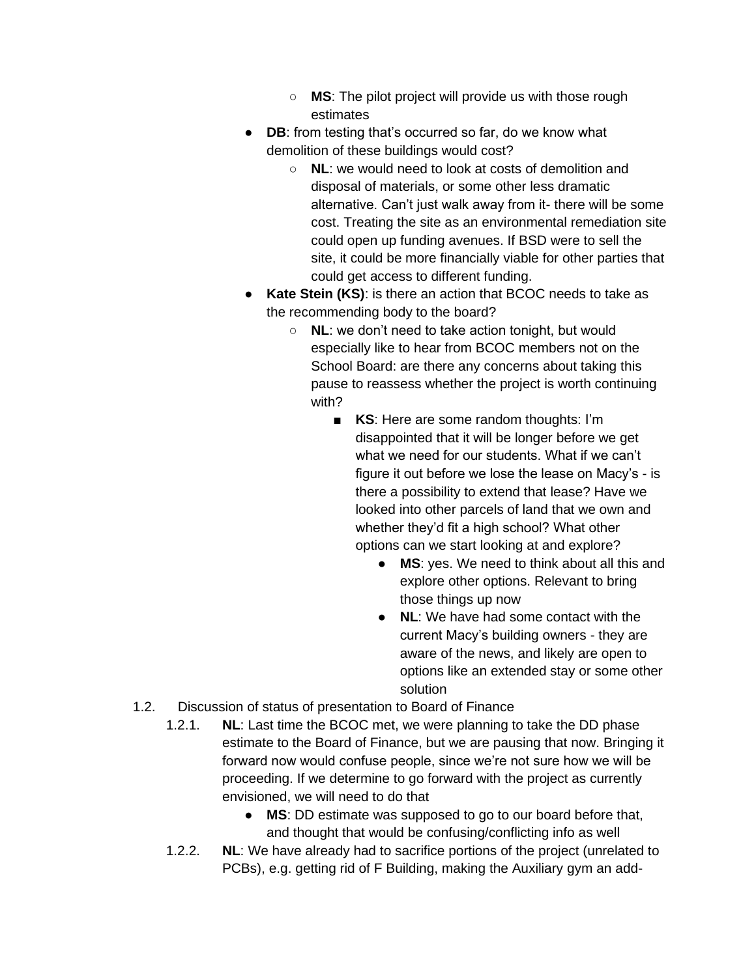- **MS**: The pilot project will provide us with those rough estimates
- **DB**: from testing that's occurred so far, do we know what demolition of these buildings would cost?
	- **NL**: we would need to look at costs of demolition and disposal of materials, or some other less dramatic alternative. Can't just walk away from it- there will be some cost. Treating the site as an environmental remediation site could open up funding avenues. If BSD were to sell the site, it could be more financially viable for other parties that could get access to different funding.
- **Kate Stein (KS)**: is there an action that BCOC needs to take as the recommending body to the board?
	- **NL**: we don't need to take action tonight, but would especially like to hear from BCOC members not on the School Board: are there any concerns about taking this pause to reassess whether the project is worth continuing with?
		- **KS**: Here are some random thoughts: I'm disappointed that it will be longer before we get what we need for our students. What if we can't figure it out before we lose the lease on Macy's - is there a possibility to extend that lease? Have we looked into other parcels of land that we own and whether they'd fit a high school? What other options can we start looking at and explore?
			- **MS**: yes. We need to think about all this and explore other options. Relevant to bring those things up now
			- **NL**: We have had some contact with the current Macy's building owners - they are aware of the news, and likely are open to options like an extended stay or some other solution
- 1.2. Discussion of status of presentation to Board of Finance
	- 1.2.1. **NL**: Last time the BCOC met, we were planning to take the DD phase estimate to the Board of Finance, but we are pausing that now. Bringing it forward now would confuse people, since we're not sure how we will be proceeding. If we determine to go forward with the project as currently envisioned, we will need to do that
		- **MS**: DD estimate was supposed to go to our board before that, and thought that would be confusing/conflicting info as well
	- 1.2.2. **NL**: We have already had to sacrifice portions of the project (unrelated to PCBs), e.g. getting rid of F Building, making the Auxiliary gym an add-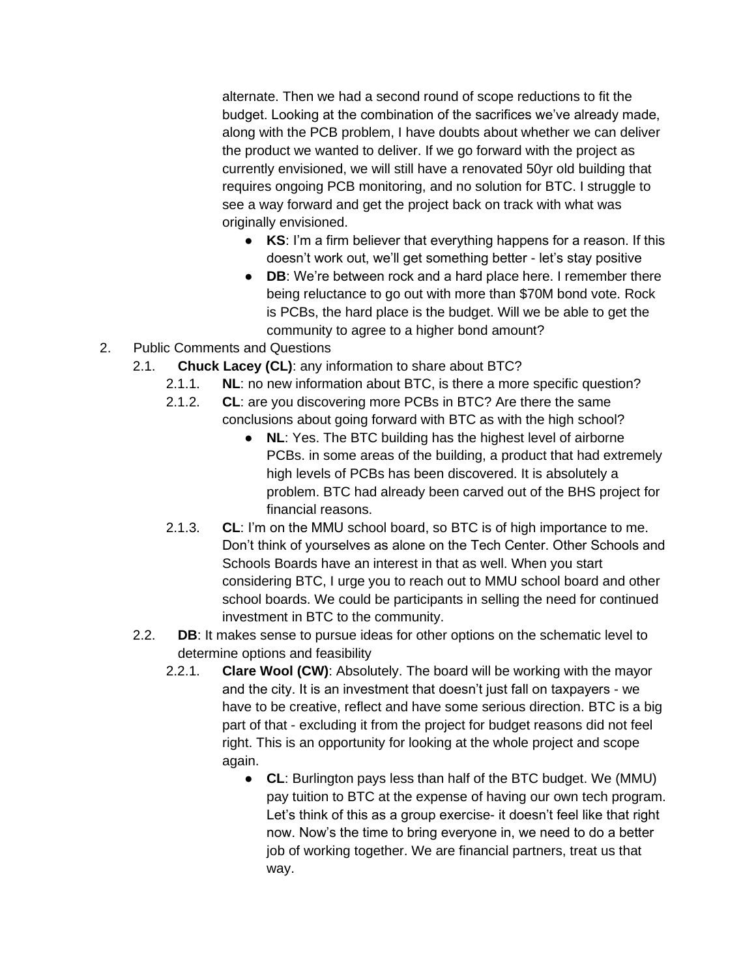alternate. Then we had a second round of scope reductions to fit the budget. Looking at the combination of the sacrifices we've already made, along with the PCB problem, I have doubts about whether we can deliver the product we wanted to deliver. If we go forward with the project as currently envisioned, we will still have a renovated 50yr old building that requires ongoing PCB monitoring, and no solution for BTC. I struggle to see a way forward and get the project back on track with what was originally envisioned.

- **KS**: I'm a firm believer that everything happens for a reason. If this doesn't work out, we'll get something better - let's stay positive
- **DB**: We're between rock and a hard place here. I remember there being reluctance to go out with more than \$70M bond vote. Rock is PCBs, the hard place is the budget. Will we be able to get the community to agree to a higher bond amount?
- 2. Public Comments and Questions
	- 2.1. **Chuck Lacey (CL)**: any information to share about BTC?
		- 2.1.1. **NL**: no new information about BTC, is there a more specific question?
		- 2.1.2. **CL**: are you discovering more PCBs in BTC? Are there the same conclusions about going forward with BTC as with the high school?
			- **NL**: Yes. The BTC building has the highest level of airborne PCBs. in some areas of the building, a product that had extremely high levels of PCBs has been discovered. It is absolutely a problem. BTC had already been carved out of the BHS project for financial reasons.
		- 2.1.3. **CL**: I'm on the MMU school board, so BTC is of high importance to me. Don't think of yourselves as alone on the Tech Center. Other Schools and Schools Boards have an interest in that as well. When you start considering BTC, I urge you to reach out to MMU school board and other school boards. We could be participants in selling the need for continued investment in BTC to the community.
	- 2.2. **DB**: It makes sense to pursue ideas for other options on the schematic level to determine options and feasibility
		- 2.2.1. **Clare Wool (CW)**: Absolutely. The board will be working with the mayor and the city. It is an investment that doesn't just fall on taxpayers - we have to be creative, reflect and have some serious direction. BTC is a big part of that - excluding it from the project for budget reasons did not feel right. This is an opportunity for looking at the whole project and scope again.
			- **CL**: Burlington pays less than half of the BTC budget. We (MMU) pay tuition to BTC at the expense of having our own tech program. Let's think of this as a group exercise- it doesn't feel like that right now. Now's the time to bring everyone in, we need to do a better job of working together. We are financial partners, treat us that way.